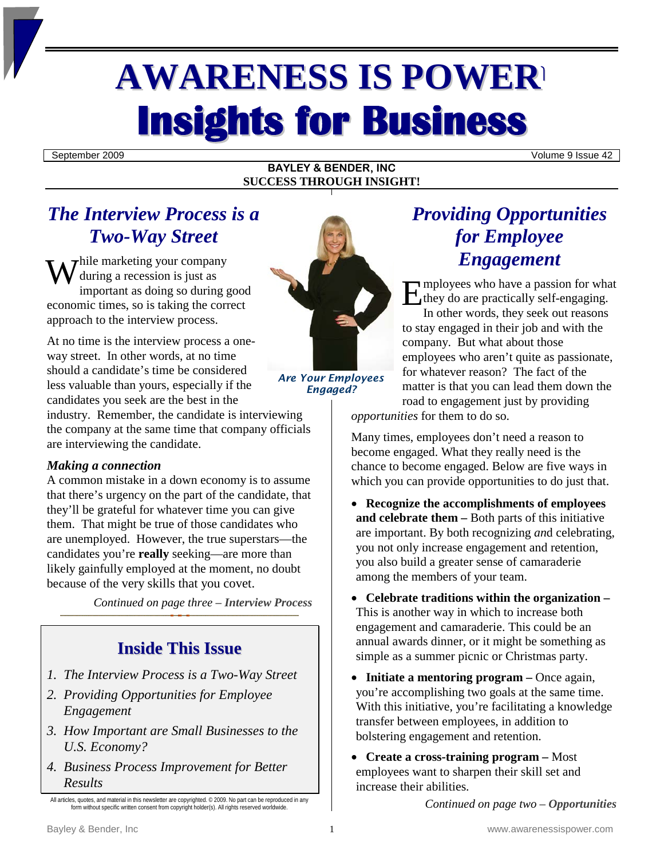# **AWARENESS IS POWER Insights for Business**

September 2009 Volume 9 Issue 42

#### **BAYLEY & BENDER, INC SUCCESS THROUGH INSIGHT!**

## *The Interview Process is a Two-Way Street*

 $\tau$ hile marketing your company during a recession is just as important as doing so during good While marketing your company<br>
during a recession is just as<br>
important as doing so during good<br>
economic times, so is taking the correct<br>
E approach to the interview process.

At no time is the interview process a oneway street. In other words, at no time should a candidate's time be considered less valuable than yours, especially if the candidates you seek are the best in the

industry. Remember, the candidate is interviewing the company at the same time that company officials are interviewing the candidate.

#### *Making a connection*

A common mistake in a down economy is to assume that there's urgency on the part of the candidate, that they'll be grateful for whatever time you can give them. That might be true of those candidates who are unemployed. However, the true superstars—the candidates you're **really** seeking—are more than likely gainfully employed at the moment, no doubt because of the very skills that you covet.

*Continued on page three – Interview Process*

## **Inside This Issue**

- *1. The Interview Process is a Two-Way Street*
- *2. Providing Opportunities for Employee Engagement*
- *3. How Important are Small Businesses to the U.S. Economy?*
- *4. Business Process Improvement for Better Results*



*Are Your Employees Engaged?*

## *Providing Opportunities for Employee Engagement*

mployees who have a passion for what they do are practically self-engaging.

In other words, they seek out reasons to stay engaged in their job and with the company. But what about those employees who aren't quite as passionate, for whatever reason? The fact of the matter is that you can lead them down the road to engagement just by providing

*opportunities* for them to do so.

Many times, employees don't need a reason to become engaged. What they really need is the chance to become engaged. Below are five ways in which you can provide opportunities to do just that.

- **Recognize the accomplishments of employees and celebrate them –** Both parts of this initiative are important. By both recognizing *an*d celebrating, you not only increase engagement and retention, you also build a greater sense of camaraderie among the members of your team.
- **Celebrate traditions within the organization –** This is another way in which to increase both engagement and camaraderie. This could be an annual awards dinner, or it might be something as simple as a summer picnic or Christmas party.
- **Initiate a mentoring program –** Once again, you're accomplishing two goals at the same time. With this initiative, you're facilitating a knowledge transfer between employees, in addition to bolstering engagement and retention.
- **Create a cross-training program –** Most employees want to sharpen their skill set and increase their abilities.

*Continued on page two – Opportunities*

All articles, quotes, and material in this newsletter are copyrighted. © 2009. No part can be reproduced in any form without specific written consent from copyright holder(s). All rights reserved worldwide.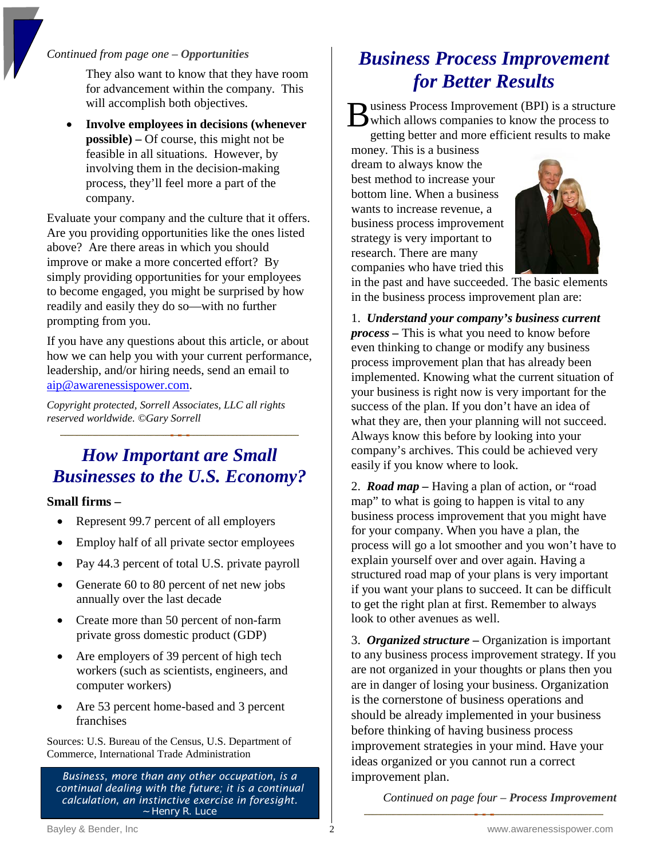#### *Continued from page one – Opportunities*

They also want to know that they have room for advancement within the company. This will accomplish both objectives.

• **Involve employees in decisions (whenever possible) –** Of course, this might not be feasible in all situations. However, by involving them in the decision-making process, they'll feel more a part of the company.

Evaluate your company and the culture that it offers. Are you providing opportunities like the ones listed above? Are there areas in which you should improve or make a more concerted effort? By simply providing opportunities for your employees to become engaged, you might be surprised by how readily and easily they do so—with no further prompting from you.

If you have any questions about this article, or about how we can help you with your current performance, leadership, and/or hiring needs, send an email to [aip@awarenessispower.com.](mailto:aip@awarenessispower.com)

*Copyright protected, Sorrell Associates, LLC all rights reserved worldwide. ©Gary Sorrell* 

## *How Important are Small Businesses to the U.S. Economy?*

**Small firms –**

- Represent 99.7 percent of all employers
- Employ half of all private sector employees
- Pay 44.3 percent of total U.S. private payroll
- Generate 60 to 80 percent of net new jobs annually over the last decade
- Create more than 50 percent of non-farm private gross domestic product (GDP)
- Are employers of 39 percent of high tech workers (such as scientists, engineers, and computer workers)
- Are 53 percent home-based and 3 percent franchises

Sources: U.S. Bureau of the Census, U.S. Department of Commerce, International Trade Administration

*Business, more than any other occupation, is a continual dealing with the future; it is a continual calculation, an instinctive exercise in foresight.* ~ Henry R. Luce

# *Business Process Improvement for Better Results*

usiness Process Improvement (BPI) is a structure B usiness Process Improvement (BPI) is a structure<br>which allows companies to know the process to<br>exiting better and more efficient results to make getting better and more efficient results to make

money. This is a business dream to always know the best method to increase your bottom line. When a business wants to increase revenue, a business process improvement strategy is very important to research. There are many companies who have tried this



in the past and have succeeded. The basic elements in the business process improvement plan are:

1. *Understand your company's business current process –* This is what you need to know before even thinking to change or modify any business process improvement plan that has already been implemented. Knowing what the current situation of your business is right now is very important for the success of the plan. If you don't have an idea of what they are, then your planning will not succeed. Always know this before by looking into your company's archives. This could be achieved very easily if you know where to look.

2. *Road map –* Having a plan of action, or "road map" to what is going to happen is vital to any business process improvement that you might have for your company. When you have a plan, the process will go a lot smoother and you won't have to explain yourself over and over again. Having a structured road map of your plans is very important if you want your plans to succeed. It can be difficult to get the right plan at first. Remember to always look to other avenues as well.

3. *Organized structure –* Organization is important to any business process improvement strategy. If you are not organized in your thoughts or plans then you are in danger of losing your business. Organization is the cornerstone of business operations and should be already implemented in your business before thinking of having business process improvement strategies in your mind. Have your ideas organized or you cannot run a correct improvement plan.

*Continued on page four – Process Improvement*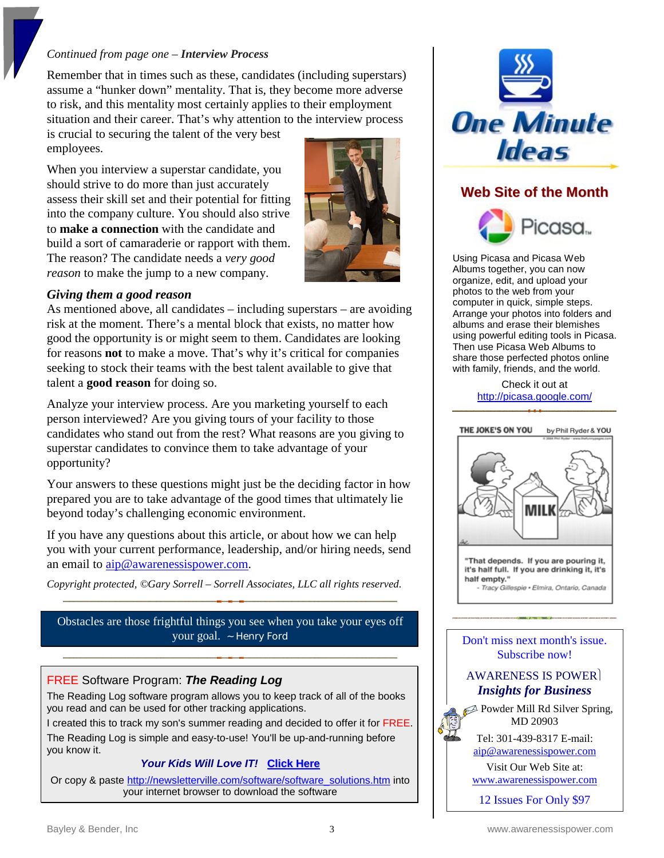#### *Continued from page one – Interview Process*

Remember that in times such as these, candidates (including superstars) assume a "hunker down" mentality. That is, they become more adverse to risk, and this mentality most certainly applies to their employment situation and their career. That's why attention to the interview process

is crucial to securing the talent of the very best employees.

When you interview a superstar candidate, you should strive to do more than just accurately assess their skill set and their potential for fitting into the company culture. You should also strive to **make a connection** with the candidate and build a sort of camaraderie or rapport with them. The reason? The candidate needs a *very good reason* to make the jump to a new company.



#### *Giving them a good reason*

As mentioned above, all candidates – including superstars – are avoiding risk at the moment. There's a mental block that exists, no matter how good the opportunity is or might seem to them. Candidates are looking for reasons **not** to make a move. That's why it's critical for companies seeking to stock their teams with the best talent available to give that talent a **good reason** for doing so.

Analyze your interview process. Are you marketing yourself to each person interviewed? Are you giving tours of your facility to those candidates who stand out from the rest? What reasons are you giving to superstar candidates to convince them to take advantage of your opportunity?

Your answers to these questions might just be the deciding factor in how prepared you are to take advantage of the good times that ultimately lie beyond today's challenging economic environment.

If you have any questions about this article, or about how we can help you with your current performance, leadership, and/or hiring needs, send an email to [aip@awarenessispower.com.](mailto:aip@awarenessispower.com)

*Copyright protected, ©Gary Sorrell – Sorrell Associates, LLC all rights reserved.* 

Obstacles are those frightful things you see when you take your eyes off your goal. ~ Henry Ford

#### FREE Software Program: *The Reading Log*

The Reading Log software program allows you to keep track of all of the books you read and can be used for other tracking applications.

I created this to track my son's summer reading and decided to offer it for FREE.

The Reading Log is simple and easy-to-use! You'll be up-and-running before you know it.

#### *Your Kids Will Love IT!* **[Click](http://newsletterville.com/software/software_solutions.htm) Here**

Or copy & paste [http://newsletterville.com/software/software\\_solutions.htm](http://newsletterville.com/software/software_solutions.htm) into your internet browser to download the software



### **Web Site of the Month**



Using Picasa and Picasa Web Albums together, you can now organize, edit, and upload your photos to the web from your computer in quick, simple steps. Arrange your photos into folders and albums and erase their blemishes using powerful editing tools in Picasa. Then use Picasa Web Albums to share those perfected photos online with family, friends, and the world.

> Check it out at <http://picasa.google.com/>



Don't miss next month's issue. Subscribe now!

#### AWARENESS IS POWER *Insights for Business*

**2** Powder Mill Rd Silver Spring, MD 20903

> Tel: 301-439-8317 E-mail: [aip@awarenessispower.com](mailto:aip@awarenessispower.com)

Visit Our Web Site at:

[www.awarenessispower.com](http://www.awarenessispower.com/)

12 Issues For Only \$97